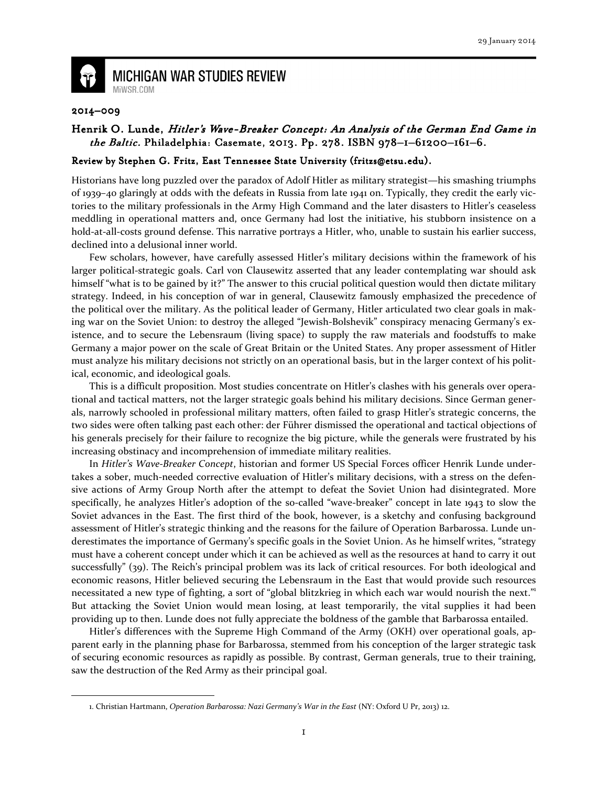

**MICHIGAN WAR STUDIES REVIEW** MiWSR.COM

## 2014–009

 $\overline{\phantom{0}}$ 

## Henrik O. Lunde, Hitler's Wave-Breaker Concept: An Analysis of the German End Game in  $the$  Baltic. Philadelphia: Casemate, 2013. Pp. 278. ISBN 978-1-61200-161-6.

## Review by Stephen G. Fritz, East Tennessee State University (fritzs@etsu.edu).

Historians have long puzzled over the paradox of Adolf Hitler as military strategist—his smashing triumphs of 1939–40 glaringly at odds with the defeats in Russia from late 1941 on. Typically, they credit the early victories to the military professionals in the Army High Command and the later disasters to Hitler's ceaseless meddling in operational matters and, once Germany had lost the initiative, his stubborn insistence on a hold-at-all-costs ground defense. This narrative portrays a Hitler, who, unable to sustain his earlier success, declined into a delusional inner world.

Few scholars, however, have carefully assessed Hitler's military decisions within the framework of his larger political-strategic goals. Carl von Clausewitz asserted that any leader contemplating war should ask himself "what is to be gained by it?" The answer to this crucial political question would then dictate military strategy. Indeed, in his conception of war in general, Clausewitz famously emphasized the precedence of the political over the military. As the political leader of Germany, Hitler articulated two clear goals in making war on the Soviet Union: to destroy the alleged "Jewish-Bolshevik" conspiracy menacing Germany's existence, and to secure the Lebensraum (living space) to supply the raw materials and foodstuffs to make Germany a major power on the scale of Great Britain or the United States. Any proper assessment of Hitler must analyze his military decisions not strictly on an operational basis, but in the larger context of his political, economic, and ideological goals.

This is a difficult proposition. Most studies concentrate on Hitler's clashes with his generals over operational and tactical matters, not the larger strategic goals behind his military decisions. Since German generals, narrowly schooled in professional military matters, often failed to grasp Hitler's strategic concerns, the two sides were often talking past each other: der Führer dismissed the operational and tactical objections of his generals precisely for their failure to recognize the big picture, while the generals were frustrated by his increasing obstinacy and incomprehension of immediate military realities.

In Hitler's Wave-Breaker Concept, historian and former US Special Forces officer Henrik Lunde undertakes a sober, much-needed corrective evaluation of Hitler's military decisions, with a stress on the defensive actions of Army Group North after the attempt to defeat the Soviet Union had disintegrated. More specifically, he analyzes Hitler's adoption of the so-called "wave-breaker" concept in late 1943 to slow the Soviet advances in the East. The first third of the book, however, is a sketchy and confusing background assessment of Hitler's strategic thinking and the reasons for the failure of Operation Barbarossa. Lunde underestimates the importance of Germany's specific goals in the Soviet Union. As he himself writes, "strategy must have a coherent concept under which it can be achieved as well as the resources at hand to carry it out successfully" (39). The Reich's principal problem was its lack of critical resources. For both ideological and economic reasons, Hitler believed securing the Lebensraum in the East that would provide such resources necessitated a new type of fighting, a sort of "global blitzkrieg in which each war would nourish the next." But attacking the Soviet Union would mean losing, at least temporarily, the vital supplies it had been providing up to then. Lunde does not fully appreciate the boldness of the gamble that Barbarossa entailed.

Hitler's differences with the Supreme High Command of the Army (OKH) over operational goals, apparent early in the planning phase for Barbarossa, stemmed from his conception of the larger strategic task of securing economic resources as rapidly as possible. By contrast, German generals, true to their training, saw the destruction of the Red Army as their principal goal.

<sup>1.</sup> Christian Hartmann, Operation Barbarossa: Nazi Germany's War in the East (NY: Oxford U Pr, 2013) 12.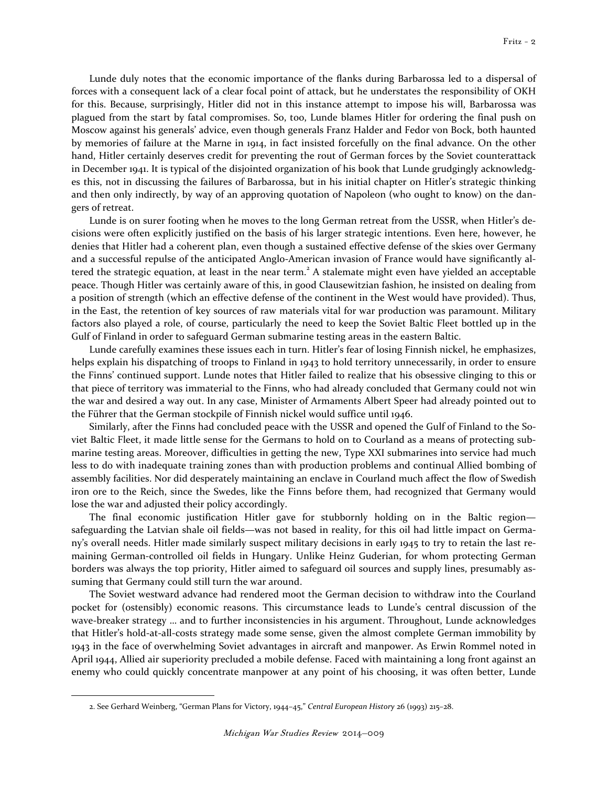Lunde duly notes that the economic importance of the flanks during Barbarossa led to a dispersal of forces with a consequent lack of a clear focal point of attack, but he understates the responsibility of OKH for this. Because, surprisingly, Hitler did not in this instance attempt to impose his will, Barbarossa was plagued from the start by fatal compromises. So, too, Lunde blames Hitler for ordering the final push on Moscow against his generals' advice, even though generals Franz Halder and Fedor von Bock, both haunted by memories of failure at the Marne in 1914, in fact insisted forcefully on the final advance. On the other hand, Hitler certainly deserves credit for preventing the rout of German forces by the Soviet counterattack in December 1941. It is typical of the disjointed organization of his book that Lunde grudgingly acknowledges this, not in discussing the failures of Barbarossa, but in his initial chapter on Hitler's strategic thinking and then only indirectly, by way of an approving quotation of Napoleon (who ought to know) on the dangers of retreat.

Lunde is on surer footing when he moves to the long German retreat from the USSR, when Hitler's decisions were often explicitly justified on the basis of his larger strategic intentions. Even here, however, he denies that Hitler had a coherent plan, even though a sustained effective defense of the skies over Germany and a successful repulse of the anticipated Anglo-American invasion of France would have significantly altered the strategic equation, at least in the near term.<sup>2</sup> A stalemate might even have yielded an acceptable peace. Though Hitler was certainly aware of this, in good Clausewitzian fashion, he insisted on dealing from a position of strength (which an effective defense of the continent in the West would have provided). Thus, in the East, the retention of key sources of raw materials vital for war production was paramount. Military factors also played a role, of course, particularly the need to keep the Soviet Baltic Fleet bottled up in the Gulf of Finland in order to safeguard German submarine testing areas in the eastern Baltic.

Lunde carefully examines these issues each in turn. Hitler's fear of losing Finnish nickel, he emphasizes, helps explain his dispatching of troops to Finland in 1943 to hold territory unnecessarily, in order to ensure the Finns' continued support. Lunde notes that Hitler failed to realize that his obsessive clinging to this or that piece of territory was immaterial to the Finns, who had already concluded that Germany could not win the war and desired a way out. In any case, Minister of Armaments Albert Speer had already pointed out to the Führer that the German stockpile of Finnish nickel would suffice until 1946.

Similarly, after the Finns had concluded peace with the USSR and opened the Gulf of Finland to the Soviet Baltic Fleet, it made little sense for the Germans to hold on to Courland as a means of protecting submarine testing areas. Moreover, difficulties in getting the new, Type XXI submarines into service had much less to do with inadequate training zones than with production problems and continual Allied bombing of assembly facilities. Nor did desperately maintaining an enclave in Courland much affect the flow of Swedish iron ore to the Reich, since the Swedes, like the Finns before them, had recognized that Germany would lose the war and adjusted their policy accordingly.

The final economic justification Hitler gave for stubbornly holding on in the Baltic region safeguarding the Latvian shale oil fields—was not based in reality, for this oil had little impact on Germany's overall needs. Hitler made similarly suspect military decisions in early 1945 to try to retain the last remaining German-controlled oil fields in Hungary. Unlike Heinz Guderian, for whom protecting German borders was always the top priority, Hitler aimed to safeguard oil sources and supply lines, presumably assuming that Germany could still turn the war around.

The Soviet westward advance had rendered moot the German decision to withdraw into the Courland pocket for (ostensibly) economic reasons. This circumstance leads to Lunde's central discussion of the wave-breaker strategy … and to further inconsistencies in his argument. Throughout, Lunde acknowledges that Hitler's hold-at-all-costs strategy made some sense, given the almost complete German immobility by 1943 in the face of overwhelming Soviet advantages in aircraft and manpower. As Erwin Rommel noted in April 1944, Allied air superiority precluded a mobile defense. Faced with maintaining a long front against an enemy who could quickly concentrate manpower at any point of his choosing, it was often better, Lunde

 $\overline{\phantom{0}}$ 

<sup>2.</sup> See Gerhard Weinberg, "German Plans for Victory, 1944–45," Central European History 26 (1993) 215–28.